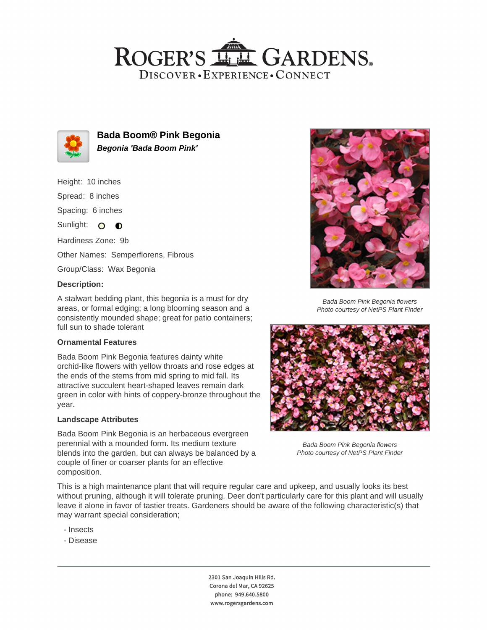## ROGER'S LL GARDENS. DISCOVER · EXPERIENCE · CONNECT



**Bada Boom® Pink Begonia Begonia 'Bada Boom Pink'**

Height: 10 inches

Spread: 8 inches

Spacing: 6 inches

Sunlight: O O

Hardiness Zone: 9b

Other Names: Semperflorens, Fibrous

Group/Class: Wax Begonia

### **Description:**

A stalwart bedding plant, this begonia is a must for dry areas, or formal edging; a long blooming season and a consistently mounded shape; great for patio containers; full sun to shade tolerant

#### **Ornamental Features**

Bada Boom Pink Begonia features dainty white orchid-like flowers with yellow throats and rose edges at the ends of the stems from mid spring to mid fall. Its attractive succulent heart-shaped leaves remain dark green in color with hints of coppery-bronze throughout the year.

#### **Landscape Attributes**

Bada Boom Pink Begonia is an herbaceous evergreen perennial with a mounded form. Its medium texture blends into the garden, but can always be balanced by a couple of finer or coarser plants for an effective composition.



Bada Boom Pink Begonia flowers Photo courtesy of NetPS Plant Finder



Bada Boom Pink Begonia flowers Photo courtesy of NetPS Plant Finder

This is a high maintenance plant that will require regular care and upkeep, and usually looks its best without pruning, although it will tolerate pruning. Deer don't particularly care for this plant and will usually leave it alone in favor of tastier treats. Gardeners should be aware of the following characteristic(s) that may warrant special consideration;

- Insects
- Disease

2301 San Joaquin Hills Rd. Corona del Mar, CA 92625 phone: 949.640.5800 www.rogersgardens.com